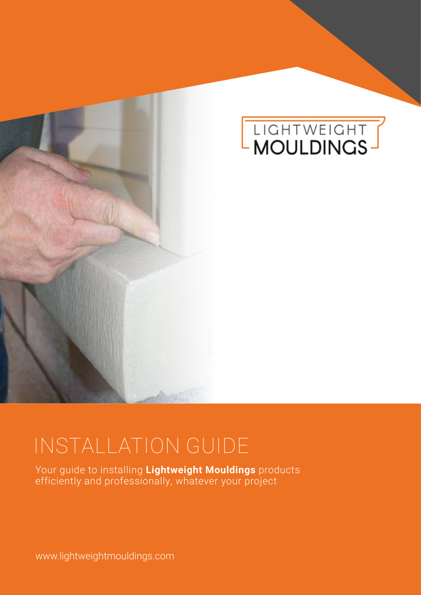



# INSTALLATION GUIDE

Your guide to installing **Lightweight Mouldings** products efficiently and professionally, whatever your project

www.lightweightmouldings.com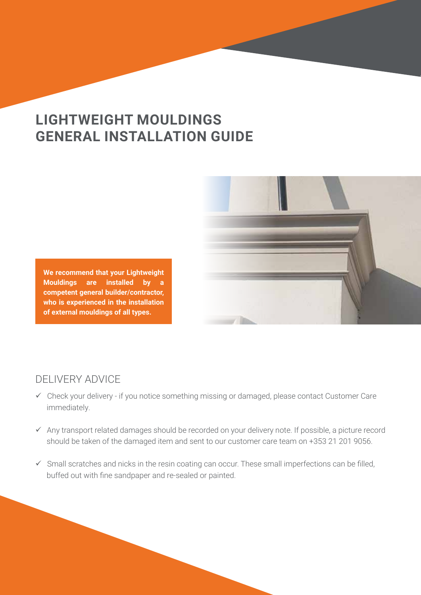# **LIGHTWEIGHT MOULDINGS GENERAL INSTALLATION GUIDE**



**We recommend that your Lightweight Mouldings are installed by a competent general builder/contractor, who is experienced in the installation of external mouldings of all types.**

# DELIVERY ADVICE

- $\checkmark$  Check your delivery if you notice something missing or damaged, please contact Customer Care immediately.
- $\checkmark$  Any transport related damages should be recorded on your delivery note. If possible, a picture record should be taken of the damaged item and sent to our customer care team on +353 21 201 9056.
- $\checkmark$  Small scratches and nicks in the resin coating can occur. These small imperfections can be filled, buffed out with fine sandpaper and re-sealed or painted.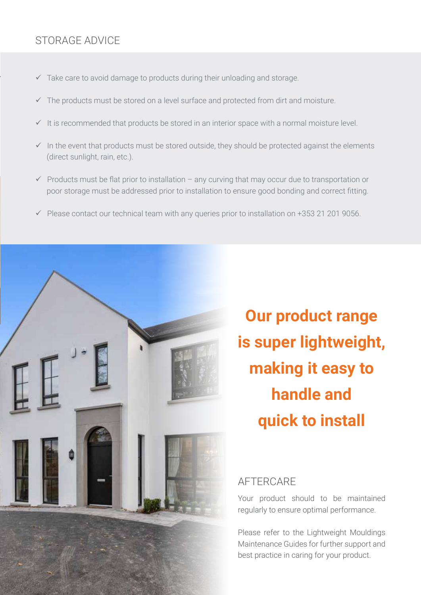# STORAGE ADVICE

- $\checkmark$  Take care to avoid damage to products during their unloading and storage.
- $\checkmark$  The products must be stored on a level surface and protected from dirt and moisture.
- $\checkmark$  It is recommended that products be stored in an interior space with a normal moisture level.
- $\checkmark$  In the event that products must be stored outside, they should be protected against the elements (direct sunlight, rain, etc.).
- $\checkmark$  Products must be flat prior to installation any curving that may occur due to transportation or poor storage must be addressed prior to installation to ensure good bonding and correct fitting.
- $\checkmark$  Please contact our technical team with any queries prior to installation on +353 21 201 9056.



**Our product range is super lightweight, making it easy to handle and quick to install**

#### AFTERCARE

Your product should to be maintained regularly to ensure optimal performance.

Please refer to the Lightweight Mouldings Maintenance Guides for further support and best practice in caring for your product.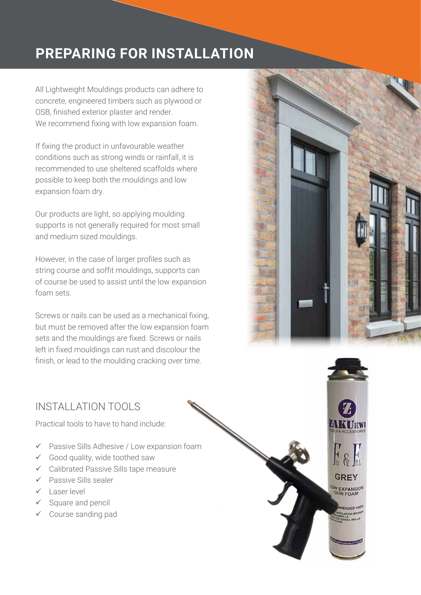# **PREPARING FOR INSTALLATION**

All Lightweight Mouldings products can adhere to concrete, engineered timbers such as plywood or OSB, finished exterior plaster and render. We recommend fixing with low expansion foam.

If fixing the product in unfavourable weather conditions such as strong winds or rainfall, it is recommended to use sheltered scaffolds where possible to keep both the mouldings and low expansion foam dry.

Our products are light, so applying moulding supports is not generally required for most small and medium sized mouldings.

However, in the case of larger profiles such as string course and soffit mouldings, supports can of course be used to assist until the low expansion foam sets.

Screws or nails can be used as a mechanical fixing, but must be removed after the low expansion foam sets and the mouldings are fixed. Screws or nails left in fixed mouldings can rust and discolour the finish, or lead to the moulding cracking over time.



# INSTALLATION TOOLS

Practical tools to have to hand include:

- $\checkmark$  Passive Sills Adhesive / Low expansion foam
- $\checkmark$  Good quality, wide toothed saw
- $\checkmark$  Calibrated Passive Sills tape measure
- $\checkmark$  Passive Sills sealer
- Laser level
- $\checkmark$  Square and pencil
- $\checkmark$  Course sanding pad

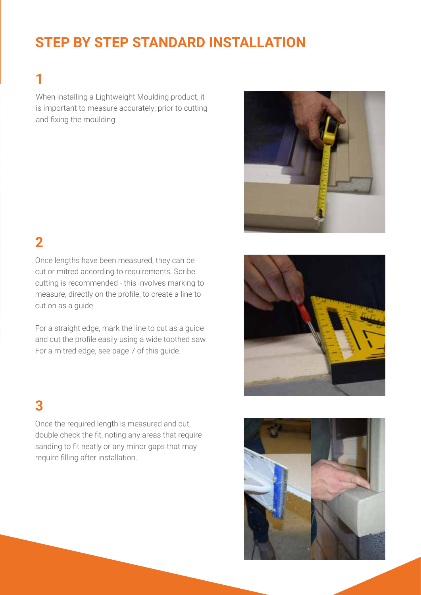# **STEP BY STEP STANDARD INSTALLATION**

# **1**

When installing a Lightweight Moulding product, it is important to measure accurately, prior to cutting and fixing the moulding.



# **2**

Once lengths have been measured, they can be cut or mitred according to requirements. Scribe cutting is recommended - this involves marking to measure, directly on the profile, to create a line to cut on as a guide.

For a straight edge, mark the line to cut as a guide and cut the profile easily using a wide toothed saw. For a mitred edge, see page 7 of this guide.

# **3**

Once the required length is measured and cut, double check the fit, noting any areas that require sanding to fit neatly or any minor gaps that may require filling after installation.



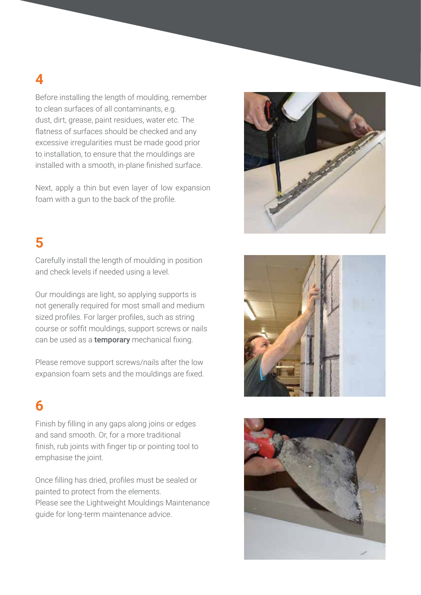**4**

Before installing the length of moulding, remember to clean surfaces of all contaminants, e.g. dust, dirt, grease, paint residues, water etc. The flatness of surfaces should be checked and any excessive irregularities must be made good prior to installation, to ensure that the mouldings are installed with a smooth, in-plane finished surface.

Next, apply a thin but even layer of low expansion foam with a gun to the back of the profile.

# **5**

Carefully install the length of moulding in position and check levels if needed using a level.

Our mouldings are light, so applying supports is not generally required for most small and medium sized profiles. For larger profiles, such as string course or soffit mouldings, support screws or nails can be used as a **temporary** mechanical fixing.

Please remove support screws/nails after the low expansion foam sets and the mouldings are fixed.

# **6**

Finish by filling in any gaps along joins or edges and sand smooth. Or, for a more traditional finish, rub joints with finger tip or pointing tool to emphasise the joint.

Once filling has dried, profiles must be sealed or painted to protect from the elements. Please see the Lightweight Mouldings Maintenance guide for long-term maintenance advice.





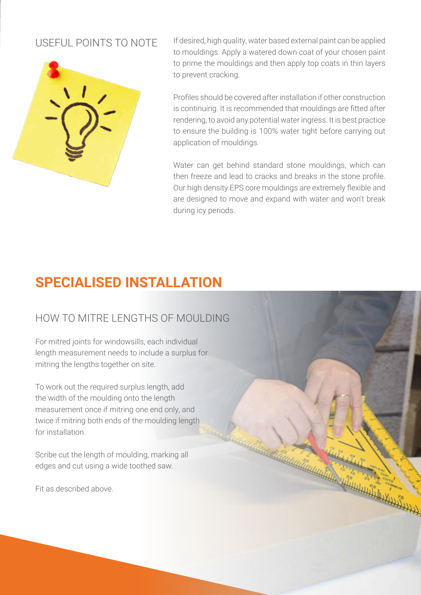#### USEFUL POINTS TO NOTE



If desired, high quality, water based external paint can be applied to mouldings. Apply a watered down coat of your chosen paint to prime the mouldings and then apply top coats in thin layers to prevent cracking.

Profiles should be covered after installation if other construction is continuing. It is recommended that mouldings are fitted after rendering, to avoid any potential water ingress. It is best practice to ensure the building is 100% water tight before carrying out application of mouldings.

Water can get behind standard stone mouldings, which can then freeze and lead to cracks and breaks in the stone profile. Our high density EPS core mouldings are extremely flexible and are designed to move and expand with water and won't break during icy periods.

# **SPECIALISED INSTALLATION**

# HOW TO MITRE LENGTHS OF MOULDING

For mitred joints for windowsills, each individual length measurement needs to include a surplus for mitring the lengths together on site.

To work out the required surplus length, add the width of the moulding onto the length measurement once if mitring one end only, and twice if mitring both ends of the moulding length for installation.

Scribe cut the length of moulding, marking all edges and cut using a wide toothed saw.

Fit as described above.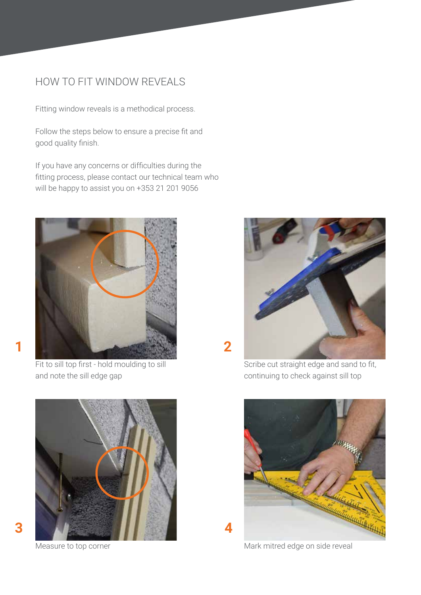#### HOW TO FIT WINDOW REVEALS

Fitting window reveals is a methodical process.

Follow the steps below to ensure a precise fit and good quality finish.

If you have any concerns or difficulties during the fitting process, please contact our technical team who will be happy to assist you on +353 21 201 9056



Fit to sill top first - hold moulding to sill and note the sill edge gap





Scribe cut straight edge and sand to fit, continuing to check against sill top



Measure to top corner measure to top corner measure to top corner measure to the corner measure of  $M$ ark mitred edge on side reveal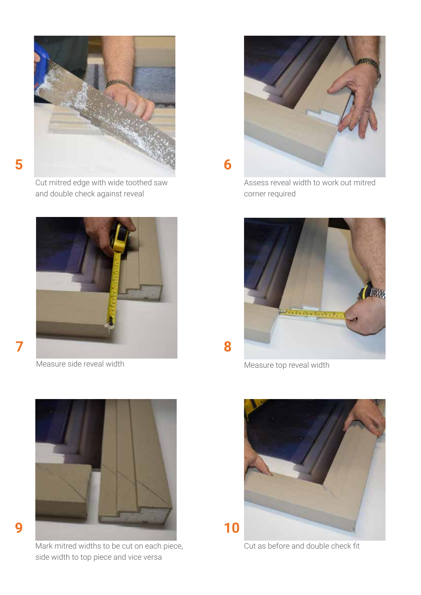

Cut mitred edge with wide toothed saw and double check against reveal



Measure side reveal width



Mark mitred widths to be cut on each piece, side width to top piece and vice versa



Assess reveal width to work out mitred corner required



Measure top reveal width



Cut as before and double check fit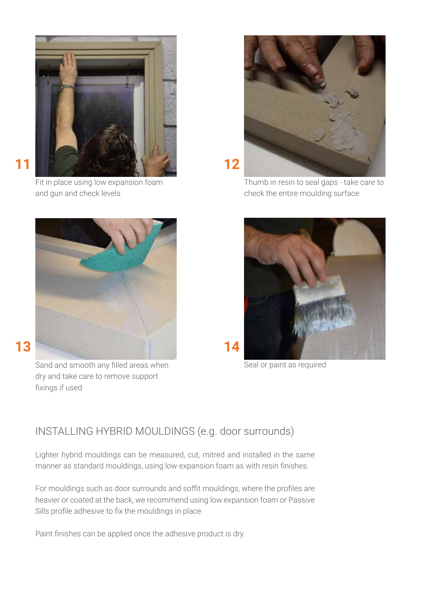

Fit in place using low expansion foam and gun and check levels



Sand and smooth any filled areas when dry and take care to remove support fixings if used



Thumb in resin to seal gaps - take care to check the entire moulding surface



Seal or paint as required

# INSTALLING HYBRID MOULDINGS (e.g. door surrounds)

Lighter hybrid mouldings can be measured, cut, mitred and installed in the same manner as standard mouldings, using low expansion foam as with resin finishes.

For mouldings such as door surrounds and soffit mouldings, where the profiles are heavier or coated at the back, we recommend using low expansion foam or Passive Sills profile adhesive to fix the mouldings in place.

Paint finishes can be applied once the adhesive product is dry.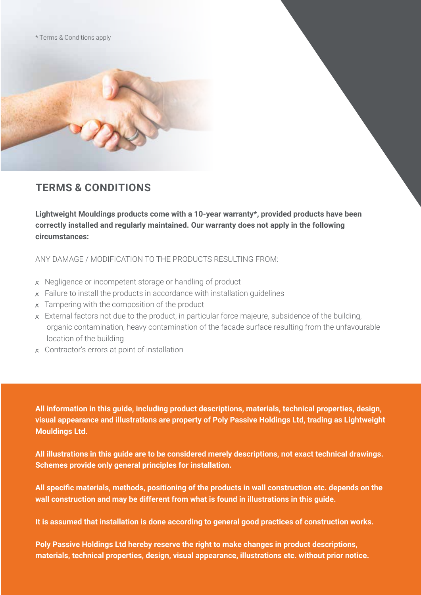\* Terms & Conditions apply



#### **TERMS & CONDITIONS**

**Lightweight Mouldings products come with a 10-year warranty\*, provided products have been correctly installed and regularly maintained. Our warranty does not apply in the following circumstances:**

ANY DAMAGE / MODIFICATION TO THE PRODUCTS RESULTING FROM:

- **x** Negligence or incompetent storage or handling of product
- **x** Failure to install the products in accordance with installation guidelines
- **x** Tampering with the composition of the product
- **x** External factors not due to the product, in particular force majeure, subsidence of the building, organic contamination, heavy contamination of the facade surface resulting from the unfavourable location of the building
- **x** Contractor's errors at point of installation

**All information in this guide, including product descriptions, materials, technical properties, design, visual appearance and illustrations are property of Poly Passive Holdings Ltd, trading as Lightweight Mouldings Ltd.**

**All illustrations in this guide are to be considered merely descriptions, not exact technical drawings. Schemes provide only general principles for installation.** 

**All specific materials, methods, positioning of the products in wall construction etc. depends on the wall construction and may be different from what is found in illustrations in this guide.** 

**It is assumed that installation is done according to general good practices of construction works.** 

**Poly Passive Holdings Ltd hereby reserve the right to make changes in product descriptions, materials, technical properties, design, visual appearance, illustrations etc. without prior notice.**